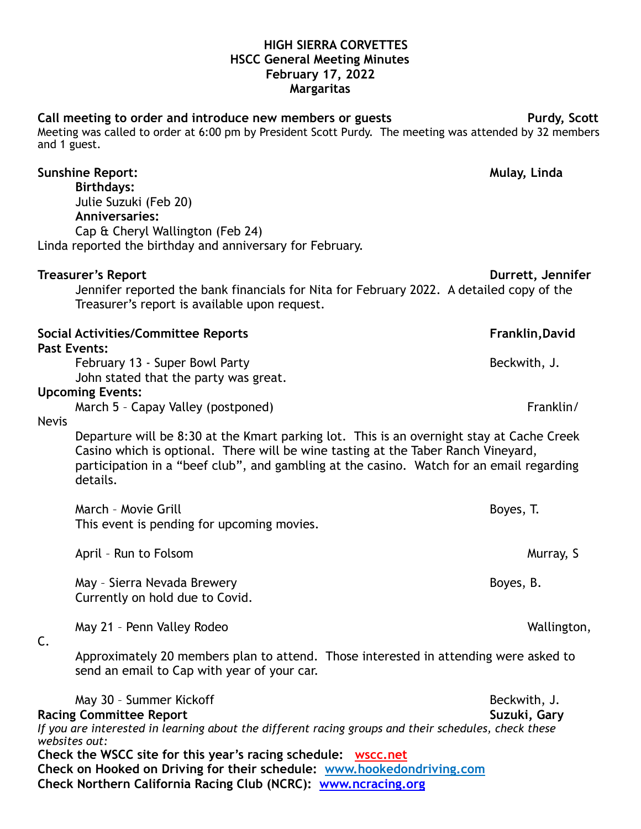## **HIGH SIERRA CORVETTES HSCC General Meeting Minutes February 17, 2022 Margaritas**

Call meeting to order and introduce new members or guests **Purdy, Scott** Meeting was called to order at 6:00 pm by President Scott Purdy. The meeting was attended by 32 members

and 1 guest.

|                     | <b>Sunshine Report:</b><br><b>Birthdays:</b><br>Julie Suzuki (Feb 20)<br><b>Anniversaries:</b>                                                                                                                                                                                                               | Mulay, Linda                 |
|---------------------|--------------------------------------------------------------------------------------------------------------------------------------------------------------------------------------------------------------------------------------------------------------------------------------------------------------|------------------------------|
|                     | Cap & Cheryl Wallington (Feb 24)<br>Linda reported the birthday and anniversary for February.                                                                                                                                                                                                                |                              |
|                     | <b>Treasurer's Report</b><br>Jennifer reported the bank financials for Nita for February 2022. A detailed copy of the<br>Treasurer's report is available upon request.                                                                                                                                       | Durrett, Jennifer            |
| <b>Past Events:</b> | <b>Social Activities/Committee Reports</b>                                                                                                                                                                                                                                                                   | Franklin, David              |
|                     | February 13 - Super Bowl Party<br>John stated that the party was great.                                                                                                                                                                                                                                      | Beckwith, J.                 |
|                     | <b>Upcoming Events:</b><br>March 5 - Capay Valley (postponed)                                                                                                                                                                                                                                                | Franklin/                    |
| <b>Nevis</b>        | Departure will be 8:30 at the Kmart parking lot. This is an overnight stay at Cache Creek<br>Casino which is optional. There will be wine tasting at the Taber Ranch Vineyard,<br>participation in a "beef club", and gambling at the casino. Watch for an email regarding<br>details.                       |                              |
|                     | March - Movie Grill<br>This event is pending for upcoming movies.                                                                                                                                                                                                                                            | Boyes, T.                    |
|                     | April - Run to Folsom                                                                                                                                                                                                                                                                                        | Murray, S                    |
|                     | May - Sierra Nevada Brewery<br>Currently on hold due to Covid.                                                                                                                                                                                                                                               | Boyes, B.                    |
| C.                  | May 21 - Penn Valley Rodeo                                                                                                                                                                                                                                                                                   | Wallington,                  |
|                     | Approximately 20 members plan to attend. Those interested in attending were asked to<br>send an email to Cap with year of your car.                                                                                                                                                                          |                              |
| websites out:       | May 30 - Summer Kickoff<br><b>Racing Committee Report</b><br>If you are interested in learning about the different racing groups and their schedules, check these<br>Check the WSCC site for this year's racing schedule: wscc.net<br>Check on Hooked on Driving for their schedule: www.hookedondriving.com | Beckwith, J.<br>Suzuki, Gary |

**Check Northern California Racing Club (NCRC): [www.ncracing.org](http://www.ncracing.org)**